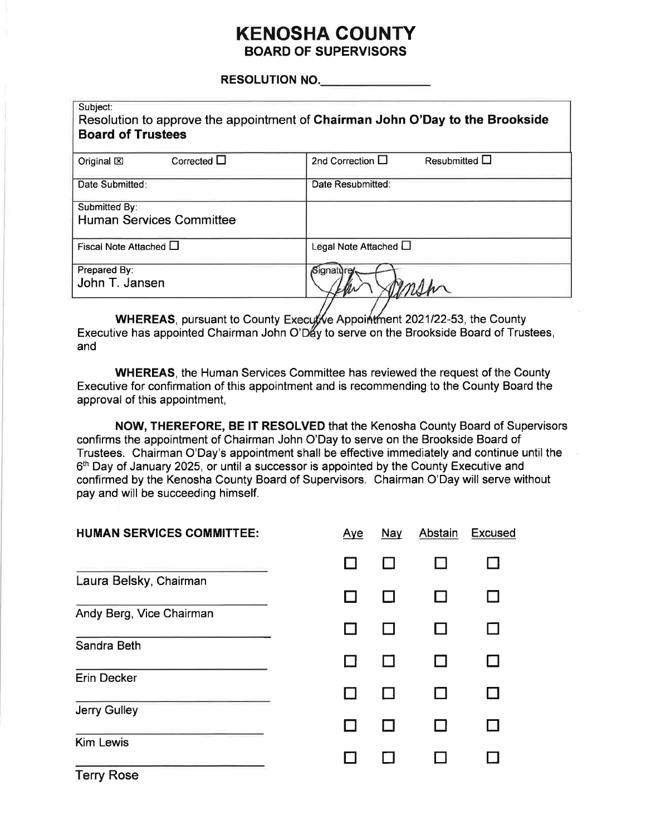#### **KENOSHA COUNTY BOARD OF SUPERVISORS**

**RESOLUTION NO.** 

| Subject:<br>Resolution to approve the appointment of Chairman John O'Day to the Brookside<br><b>Board of Trustees</b> |                                             |  |  |  |
|-----------------------------------------------------------------------------------------------------------------------|---------------------------------------------|--|--|--|
| Corrected $\Box$<br>Original $\boxtimes$                                                                              | Resubmitted $\Box$<br>2nd Correction $\Box$ |  |  |  |
| Date Submitted:                                                                                                       | Date Resubmitted:                           |  |  |  |
| Submitted By:<br><b>Human Services Committee</b>                                                                      |                                             |  |  |  |
| Fiscal Note Attached $\Box$                                                                                           | Legal Note Attached L                       |  |  |  |
| Prepared By:<br>John T. Jansen                                                                                        | Signature                                   |  |  |  |

WHEREAS, pursuant to County Executive Appointment 2021/22-53, the County Executive has appointed Chairman John O'Day to serve on the Brookside Board of Trustees, and

**WHEREAS**, the Human Services Committee has reviewed the request of the County Executive for confirmation of this appointment and is recommending to the County Board the approval of this appointment,

NOW, THEREFORE, BE IT RESOLVED that the Kenosha County Board of Supervisors confirms the appointment of Chairman John O'Day to serve on the Brookside Board of Trustees. Chairman O'Day's appointment shall be effective immediately and continue until the 6<sup>th</sup> Day of January 2025, or until a successor is appointed by the County Executive and confirmed by the Kenosha County Board of Supervisors. Chairman O'Day will serve without pay and will be succeeding himself.

| <b>HUMAN SERVICES COMMITTEE:</b> | Aye | <b>Nay</b> | Abstain | <b>Excused</b> |
|----------------------------------|-----|------------|---------|----------------|
|                                  |     |            |         |                |
| Laura Belsky, Chairman           |     |            |         |                |
| Andy Berg, Vice Chairman         |     |            |         |                |
| Sandra Beth                      |     |            |         |                |
| <b>Erin Decker</b>               |     |            |         |                |
| <b>Jerry Gulley</b>              |     |            |         |                |
| <b>Kim Lewis</b>                 |     |            |         |                |
| <b>Terry Rose</b>                |     |            |         |                |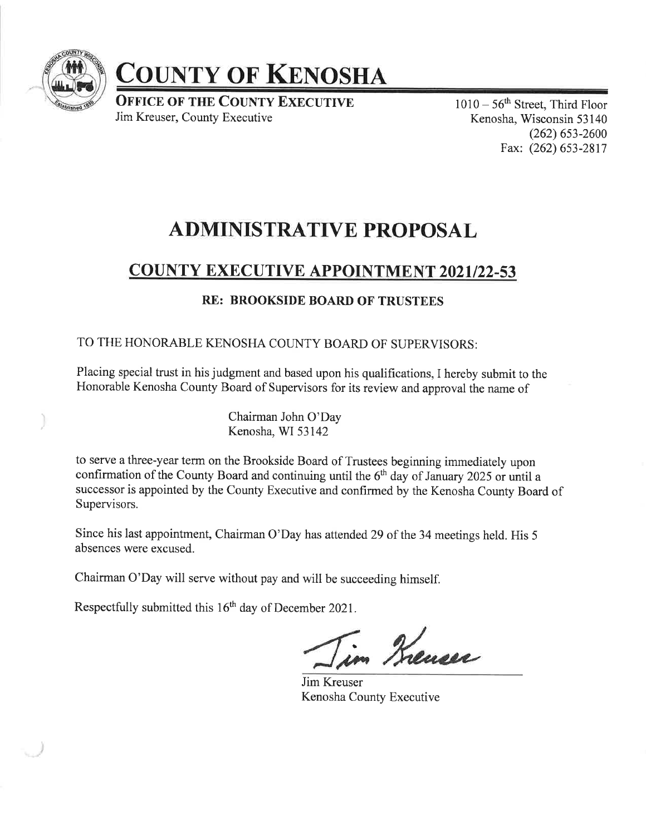

# COUNTY OF KENOSHA

**OFFICE OF THE COUNTY EXECUTIVE** Jim Kreuser, County Executive

<sup>1010</sup>- 56th Street, Third Floor Kenosha, Wisconsin 53 140 (262) 6s3-2600 Fax: (262) 653-2817

## ADMINISTRATIVE PROPOSAL

### **COUNTY EXECUTIVE APPOINTMENT 2021/22-53**

#### RE: BROOKSIDE BOARD OF TRUSTEES

#### TO THE HONORABLE KENOSHA COUNTY BOARD OF SUPERVISORS:

Placing special trust in his judgment and based upon his qualifications, I hereby submit to the Honorable Kenosha County Board of Supervisors for its review and approval the name of

> Chairman John O'Day Kenosha, WI 53142

to serve a three-year term on the Brookside Board of Trustees beginning immediately upon confirmation of the County Board and continuing until the  $6<sup>th</sup>$  day of January 2025 or until a successor is appointed by the County Executive and confirmed by the Kenosha County Board of Supervisors.

Since his last appointment, Chairman O'Day has attended 29 of the 34 meetings held. His <sup>5</sup> absences were excused.

Chairman O'Day will serve without pay and will be succeeding himself.

Respectfully submitted this 16<sup>th</sup> day of December 2021.

in Kreuser

Jim Kreuser Kenosha County Executive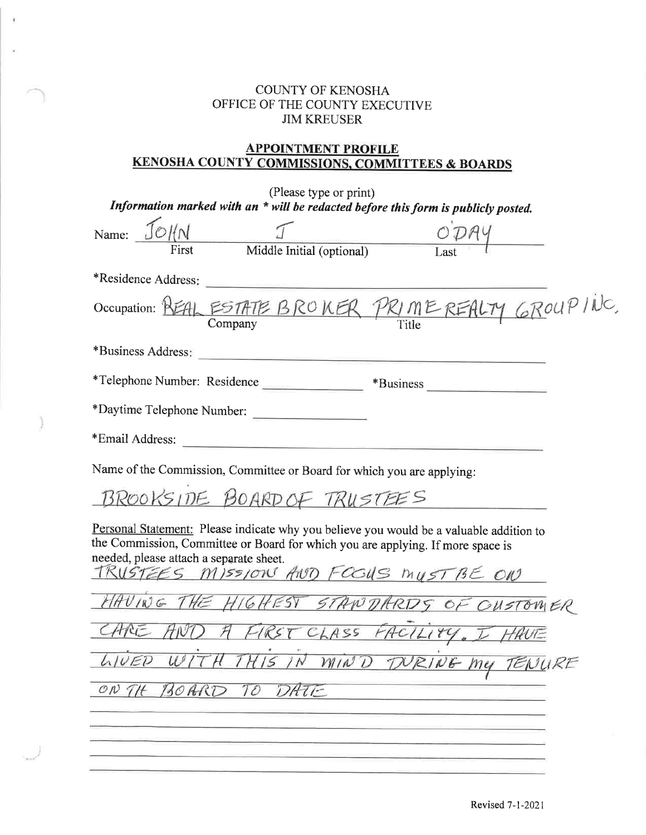#### COUNTY OF KENOSHA OFFICE OF THE COUNTY EXECUTIVE JIM KREUSER

 $\bar{\pmb{z}}$ 

y

ĭ

#### APPOINTMENT PROFILE KENOSHA COUNTY COMMISSIONS. COMMITTEES & BOARDS

| (Please type or print)<br>Information marked with an * will be redacted before this form is publicly posted.                                                                                                                                                    |  |  |  |  |
|-----------------------------------------------------------------------------------------------------------------------------------------------------------------------------------------------------------------------------------------------------------------|--|--|--|--|
| Name: JOHN<br>Middle Initial (optional)<br>First                                                                                                                                                                                                                |  |  |  |  |
| *Residence Address:                                                                                                                                                                                                                                             |  |  |  |  |
| Occupation: REAL ESTATE BROKER PRIMEREALTY GROUP INC.                                                                                                                                                                                                           |  |  |  |  |
|                                                                                                                                                                                                                                                                 |  |  |  |  |
|                                                                                                                                                                                                                                                                 |  |  |  |  |
| *Daytime Telephone Number:                                                                                                                                                                                                                                      |  |  |  |  |
|                                                                                                                                                                                                                                                                 |  |  |  |  |
| Name of the Commission, Committee or Board for which you are applying:                                                                                                                                                                                          |  |  |  |  |
| BROOKSIDE BOARD OF TRUSTEES                                                                                                                                                                                                                                     |  |  |  |  |
| Personal Statement: Please indicate why you believe you would be a valuable addition to<br>the Commission, Committee or Board for which you are applying. If more space is<br>needed, please attach a separate sheet.<br>TRUSTEES MISSIONS AND FOODS MUST BE ON |  |  |  |  |
| HAVING THE HIGHEST STANDARDS OF OUSTOMER                                                                                                                                                                                                                        |  |  |  |  |
| ARE AND A FIRST CLASS FACILITY. I HAVE                                                                                                                                                                                                                          |  |  |  |  |
| LIVED WITH THIS IN MIND DURING MY TENURE                                                                                                                                                                                                                        |  |  |  |  |
| ON THE BOARD TO DATE                                                                                                                                                                                                                                            |  |  |  |  |
|                                                                                                                                                                                                                                                                 |  |  |  |  |
|                                                                                                                                                                                                                                                                 |  |  |  |  |
|                                                                                                                                                                                                                                                                 |  |  |  |  |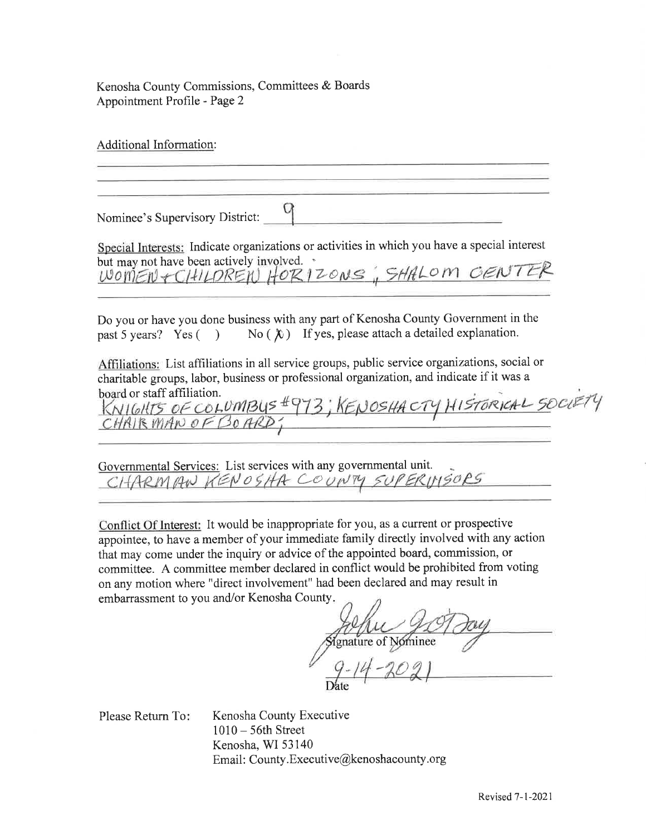Kenosha County Commissions, Committees & Boards Appointment Profile - Page 2

Additional Information:

Nominee's Supervisory District:

Special Interests: Indicate organizations or activities in which you have a special interest but may not have been actively involved.  $\cdot$ WOMEN + CHILDREN HORIZONS, SHALOM CENTER

Do you or have you done business with any part of Kenosha County Government in the past 5 years? Yes ( ) No  $(\lambda)$  If yes, please attach a detailed explanation.

Affiliations: List affiliations in all service groups, public service organizations, social or charitable groups, labor, business or professional organization, and indicate if it was <sup>a</sup> board or staff affiliation.

 $KNICHTS$  OF COLUMBUS #973; KENOSHACTY HISTORICAL SOCIETY

Governmental Services: List services with any governmental unit. CHARMAN KENOSHA COUNTY SUPERVISORS

Conflict Of Interest: It would be inappropriate for you, as a current or prospective appointee, to have a member of your immediate family directly involved with any action that may come under the inquiry or advice of the appointed board, commission, or committee. A committee member declared in conflict would be prohibited from voting on any motion where "direct involvement" had been declared and may result in embarrassment to you and/or Kenosha County

*a u u w y l s e d Mominee*  $\mathscr O$ 

Please Return To

Kenosha County Executive <sup>1010</sup>- 56th Street Kenosha, WI 53140 Email: County. Executive@kenoshacounty.org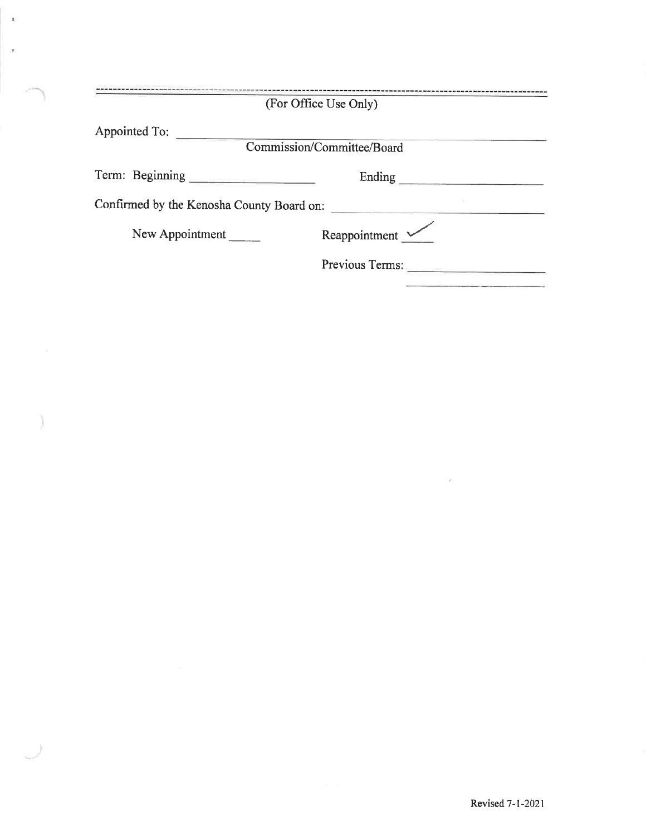| (For Office Use Only)                       |                 |  |  |  |
|---------------------------------------------|-----------------|--|--|--|
| Appointed To:<br>Commission/Committee/Board |                 |  |  |  |
| Term: Beginning                             | Ending          |  |  |  |
| Confirmed by the Kenosha County Board on:   |                 |  |  |  |
| New Appointment                             | Reappointment   |  |  |  |
|                                             | Previous Terms: |  |  |  |

1 /

 $\mathbf{t}$ 

 $\bar{\mathbf{z}}$ 

 $\mathcal{A}$  :